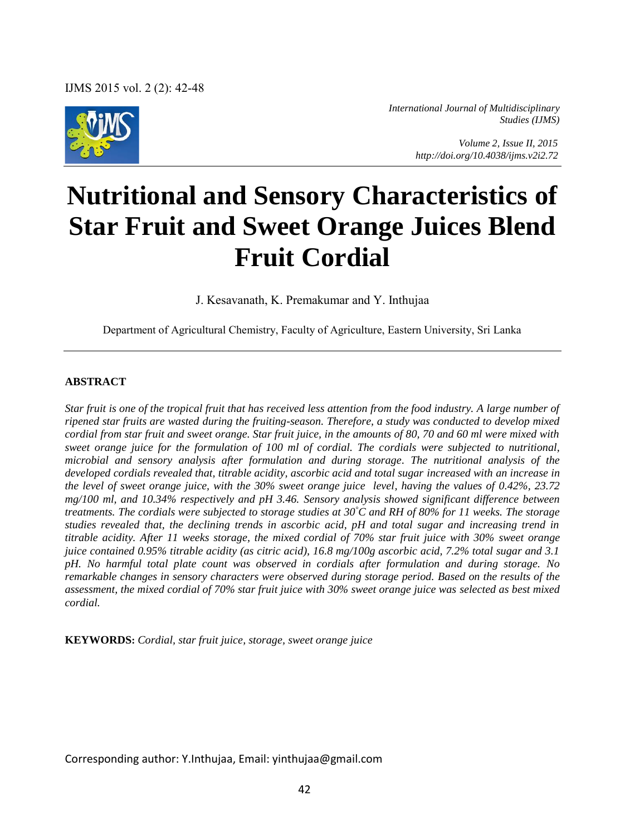

*International Journal of Multidisciplinary Studies (IJMS)* 

> *Volume 2, Issue II, 2015 http://doi.org/10.4038/ijms.v2i2.72*

# **Nutritional and Sensory Characteristics of Star Fruit and Sweet Orange Juices Blend Fruit Cordial**

J. Kesavanath, K. Premakumar and Y. Inthujaa

Department of Agricultural Chemistry, Faculty of Agriculture, Eastern University, Sri Lanka

#### **ABSTRACT**

*Star fruit is one of the tropical fruit that has received less attention from the food industry. A large number of ripened star fruits are wasted during the fruiting-season. Therefore, a study was conducted to develop mixed cordial from star fruit and sweet orange. Star fruit juice, in the amounts of 80, 70 and 60 ml were mixed with sweet orange juice for the formulation of 100 ml of cordial. The cordials were subjected to nutritional, microbial and sensory analysis after formulation and during storage. The nutritional analysis of the developed cordials revealed that, titrable acidity, ascorbic acid and total sugar increased with an increase in the level of sweet orange juice, with the 30% sweet orange juice level, having the values of 0.42%, 23.72 mg/100 ml, and 10.34% respectively and pH 3.46. Sensory analysis showed significant difference between treatments. The cordials were subjected to storage studies at 30°C and RH of 80% for 11 weeks. The storage studies revealed that, the declining trends in ascorbic acid, pH and total sugar and increasing trend in titrable acidity. After 11 weeks storage, the mixed cordial of 70% star fruit juice with 30% sweet orange juice contained 0.95% titrable acidity (as citric acid), 16.8 mg/100g ascorbic acid, 7.2% total sugar and 3.1 pH. No harmful total plate count was observed in cordials after formulation and during storage. No remarkable changes in sensory characters were observed during storage period. Based on the results of the assessment, the mixed cordial of 70% star fruit juice with 30% sweet orange juice was selected as best mixed cordial.* 

**KEYWORDS:** *Cordial, star fruit juice, storage, sweet orange juice* 

Corresponding author: Y.Inthujaa, Email: yinthujaa@gmail.com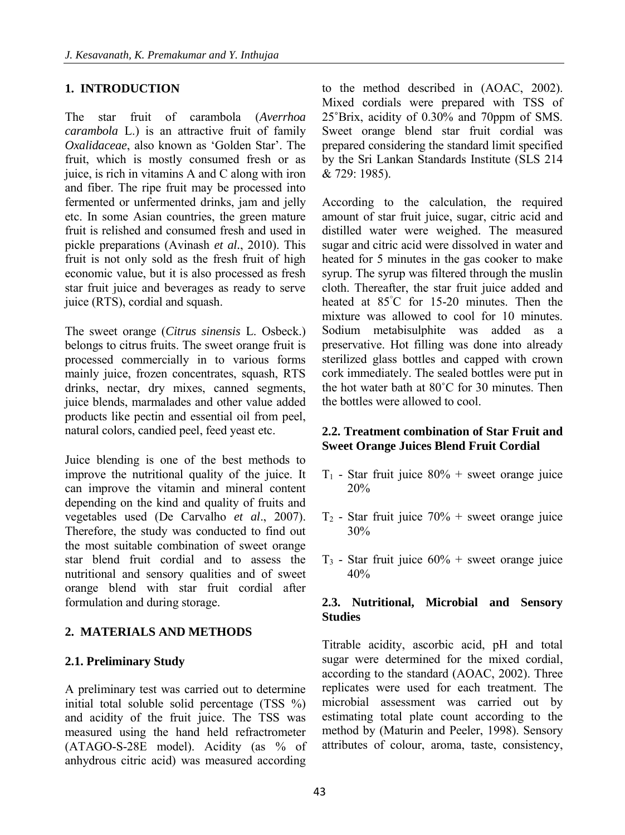## **1. INTRODUCTION**

The star fruit of carambola (*Averrhoa carambola* L.) is an attractive fruit of family *Oxalidaceae*, also known as 'Golden Star'. The fruit, which is mostly consumed fresh or as juice, is rich in vitamins A and C along with iron and fiber. The ripe fruit may be processed into fermented or unfermented drinks, jam and jelly etc. In some Asian countries, the green mature fruit is relished and consumed fresh and used in pickle preparations (Avinash *et al.*, 2010). This fruit is not only sold as the fresh fruit of high economic value, but it is also processed as fresh star fruit juice and beverages as ready to serve juice (RTS), cordial and squash.

The sweet orange (*Citrus sinensis* L. Osbeck.) belongs to citrus fruits. The sweet orange fruit is processed commercially in to various forms mainly juice, frozen concentrates, squash, RTS drinks, nectar, dry mixes, canned segments, juice blends, marmalades and other value added products like pectin and essential oil from peel, natural colors, candied peel, feed yeast etc.

Juice blending is one of the best methods to improve the nutritional quality of the juice. It can improve the vitamin and mineral content depending on the kind and quality of fruits and vegetables used (De Carvalho *et al*., 2007). Therefore, the study was conducted to find out the most suitable combination of sweet orange star blend fruit cordial and to assess the nutritional and sensory qualities and of sweet orange blend with star fruit cordial after formulation and during storage.

# **2. MATERIALS AND METHODS**

#### **2.1. Preliminary Study**

A preliminary test was carried out to determine initial total soluble solid percentage (TSS %) and acidity of the fruit juice. The TSS was measured using the hand held refractrometer (ATAGO-S-28E model). Acidity (as % of anhydrous citric acid) was measured according to the method described in (AOAC, 2002). Mixed cordials were prepared with TSS of 25**˚**Brix, acidity of 0.30% and 70ppm of SMS. Sweet orange blend star fruit cordial was prepared considering the standard limit specified by the Sri Lankan Standards Institute (SLS 214 & 729: 1985).

According to the calculation, the required amount of star fruit juice, sugar, citric acid and distilled water were weighed. The measured sugar and citric acid were dissolved in water and heated for 5 minutes in the gas cooker to make syrup. The syrup was filtered through the muslin cloth. Thereafter, the star fruit juice added and heated at 85°C for 15-20 minutes. Then the mixture was allowed to cool for 10 minutes. Sodium metabisulphite was added as a preservative. Hot filling was done into already sterilized glass bottles and capped with crown cork immediately. The sealed bottles were put in the hot water bath at 80˚C for 30 minutes. Then the bottles were allowed to cool.

#### **2.2. Treatment combination of Star Fruit and Sweet Orange Juices Blend Fruit Cordial**

- $T_1$  Star fruit juice  $80\%$  + sweet orange juice 20%
- $T_2$  Star fruit juice 70% + sweet orange juice 30%
- $T_3$  Star fruit juice  $60\%$  + sweet orange juice 40%

#### **2.3. Nutritional, Microbial and Sensory Studies**

Titrable acidity, ascorbic acid, pH and total sugar were determined for the mixed cordial, according to the standard (AOAC, 2002). Three replicates were used for each treatment. The microbial assessment was carried out by estimating total plate count according to the method by (Maturin and Peeler, 1998). Sensory attributes of colour, aroma, taste, consistency,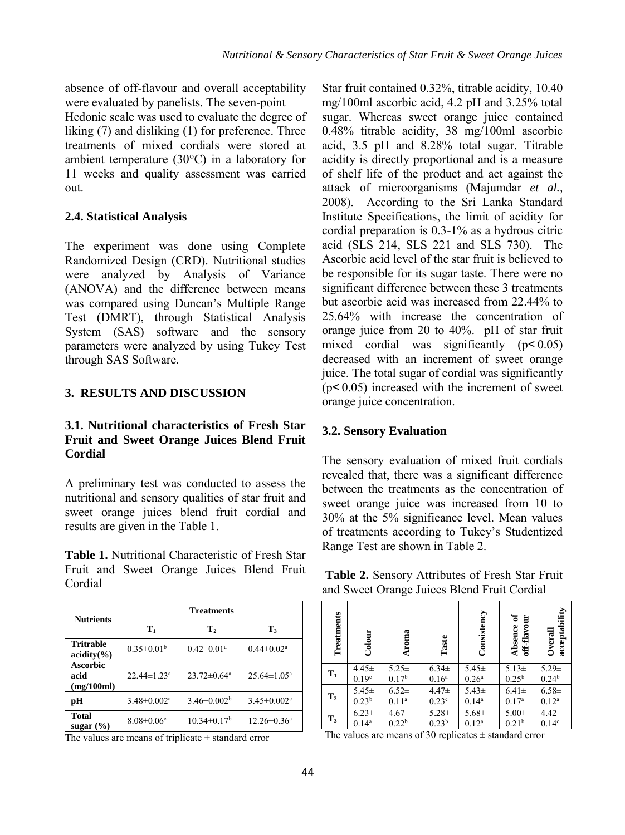absence of off-flavour and overall acceptability were evaluated by panelists. The seven-point

Hedonic scale was used to evaluate the degree of liking (7) and disliking (1) for preference. Three treatments of mixed cordials were stored at ambient temperature (30°C) in a laboratory for 11 weeks and quality assessment was carried out.

## **2.4. Statistical Analysis**

The experiment was done using Complete Randomized Design (CRD). Nutritional studies were analyzed by Analysis of Variance (ANOVA) and the difference between means was compared using Duncan's Multiple Range Test (DMRT), through Statistical Analysis System (SAS) software and the sensory parameters were analyzed by using Tukey Test through SAS Software.

# **3. RESULTS AND DISCUSSION**

#### **3.1. Nutritional characteristics of Fresh Star Fruit and Sweet Orange Juices Blend Fruit Cordial**

A preliminary test was conducted to assess the nutritional and sensory qualities of star fruit and sweet orange juices blend fruit cordial and results are given in the Table 1.

**Table 1.** Nutritional Characteristic of Fresh Star Fruit and Sweet Orange Juices Blend Fruit Cordial

| <b>Nutrients</b>                         | <b>Treatments</b>             |                               |                               |  |
|------------------------------------------|-------------------------------|-------------------------------|-------------------------------|--|
|                                          | Tı                            | $\mathbf{T}_2$                | T٠                            |  |
| <b>Tritrable</b><br>$\text{acidity}(\%)$ | $0.35 \pm 0.01^{\rm b}$       | $0.42 \pm 0.01$ <sup>a</sup>  | $0.44 \pm 0.02^a$             |  |
| <b>Ascorbic</b><br>acid<br>(mg/100ml)    | $22.44 \pm 1.23$ <sup>a</sup> | $23.72 \pm 0.64$ <sup>a</sup> | $25.64 \pm 1.05^a$            |  |
| рH                                       | $3.48 \pm 0.002$ <sup>a</sup> | $3.46 \pm 0.002^b$            | $3.45 \pm 0.002$ <sup>c</sup> |  |
| <b>Total</b><br>sugar $(\% )$            | $8.08 \pm 0.06$ <sup>c</sup>  | $10.34 \pm 0.17^{\rm b}$      | $12.26 \pm 0.36^a$            |  |

The values are means of triplicate  $\pm$  standard error

Star fruit contained 0.32%, titrable acidity, 10.40 mg/100ml ascorbic acid, 4.2 pH and 3.25% total sugar. Whereas sweet orange juice contained 0.48% titrable acidity, 38 mg/100ml ascorbic acid, 3.5 pH and 8.28% total sugar. Titrable acidity is directly proportional and is a measure of shelf life of the product and act against the attack of microorganisms (Majumdar *et al.,* 2008). According to the Sri Lanka Standard Institute Specifications, the limit of acidity for cordial preparation is 0.3-1% as a hydrous citric acid (SLS 214, SLS 221 and SLS 730). The Ascorbic acid level of the star fruit is believed to be responsible for its sugar taste. There were no significant difference between these 3 treatments but ascorbic acid was increased from 22.44% to 25.64% with increase the concentration of orange juice from 20 to 40%. pH of star fruit mixed cordial was significantly  $(p< 0.05)$ decreased with an increment of sweet orange juice. The total sugar of cordial was significantly  $(p< 0.05)$  increased with the increment of sweet orange juice concentration.

# **3.2. Sensory Evaluation**

The sensory evaluation of mixed fruit cordials revealed that, there was a significant difference between the treatments as the concentration of sweet orange juice was increased from 10 to 30% at the 5% significance level. Mean values of treatments according to Tukey's Studentized Range Test are shown in Table 2.

| Table 2. Sensory Attributes of Fresh Star Fruit |  |  |
|-------------------------------------------------|--|--|
| and Sweet Orange Juices Blend Fruit Cordial     |  |  |

| Treatments     | Colour            | Aroma             | Taste             | Consistency    | ð<br>off-flavour<br>Absence | acceptability<br>Overal |
|----------------|-------------------|-------------------|-------------------|----------------|-----------------------------|-------------------------|
| $T_1$          | $4.45 \pm$        | $5.25 \pm$        | $6.34 \pm$        | $5.45 \pm$     | $5.13+$                     | $5.29 \pm$              |
|                | 0.19 <sup>c</sup> | 0.17 <sup>b</sup> | 0.16 <sup>a</sup> | $0.26^{\rm a}$ | $0.25^{\rm b}$              | 0.24 <sup>b</sup>       |
| $\mathbf{T}_2$ | $5.45 \pm$        | $6.52+$           | $4.47+$           | $5.43 \pm$     | $6.41 \pm$                  | $6.58 \pm$              |
|                | 0.23 <sup>b</sup> | $0.11^{a}$        | 0.23 <sup>c</sup> | $0.14^{a}$     | 0.17 <sup>a</sup>           | $0.12^a$                |
| $T_3$          | $6.23 \pm$        | $4.67+$           | $5.28 \pm$        | $5.68 \pm$     | $5.00 \pm$                  | $4.42 \pm$              |
|                | $0.14^{a}$        | 0.22 <sup>b</sup> | 0.23 <sup>b</sup> | $0.12^a$       | 0.21 <sup>b</sup>           | 0.14 <sup>c</sup>       |

The values are means of 30 replicates  $\pm$  standard error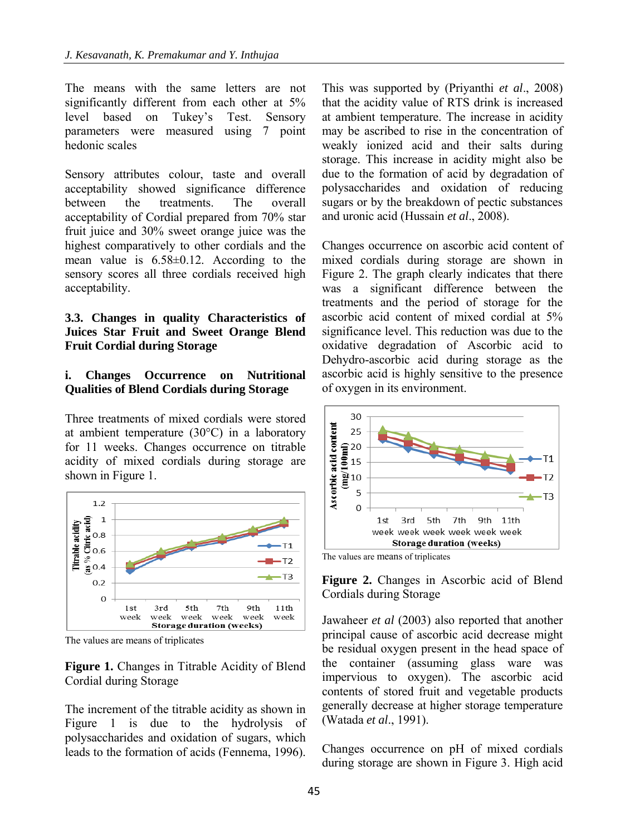The means with the same letters are not significantly different from each other at 5% level based on Tukey's Test. Sensory parameters were measured using 7 point hedonic scales

Sensory attributes colour, taste and overall acceptability showed significance difference between the treatments. The overall acceptability of Cordial prepared from 70% star fruit juice and 30% sweet orange juice was the highest comparatively to other cordials and the mean value is 6.58±0.12. According to the sensory scores all three cordials received high acceptability.

#### **3.3. Changes in quality Characteristics of Juices Star Fruit and Sweet Orange Blend Fruit Cordial during Storage**

#### **i. Changes Occurrence on Nutritional Qualities of Blend Cordials during Storage**

Three treatments of mixed cordials were stored at ambient temperature (30°C) in a laboratory for 11 weeks. Changes occurrence on titrable acidity of mixed cordials during storage are shown in Figure 1.



The values are means of triplicates

**Figure 1.** Changes in Titrable Acidity of Blend Cordial during Storage

The increment of the titrable acidity as shown in Figure 1 is due to the hydrolysis of polysaccharides and oxidation of sugars, which leads to the formation of acids (Fennema, 1996). This was supported by (Priyanthi *et al*., 2008) that the acidity value of RTS drink is increased at ambient temperature. The increase in acidity may be ascribed to rise in the concentration of weakly ionized acid and their salts during storage. This increase in acidity might also be due to the formation of acid by degradation of polysaccharides and oxidation of reducing sugars or by the breakdown of pectic substances and uronic acid (Hussain *et al*., 2008).

Changes occurrence on ascorbic acid content of mixed cordials during storage are shown in Figure 2. The graph clearly indicates that there was a significant difference between the treatments and the period of storage for the ascorbic acid content of mixed cordial at 5% significance level. This reduction was due to the oxidative degradation of Ascorbic acid to Dehydro-ascorbic acid during storage as the ascorbic acid is highly sensitive to the presence of oxygen in its environment.



The values are means of triplicates

**Figure 2.** Changes in Ascorbic acid of Blend Cordials during Storage

Jawaheer *et al* (2003) also reported that another principal cause of ascorbic acid decrease might be residual oxygen present in the head space of the container (assuming glass ware was impervious to oxygen). The ascorbic acid contents of stored fruit and vegetable products generally decrease at higher storage temperature (Watada *et al*., 1991).

Changes occurrence on pH of mixed cordials during storage are shown in Figure 3. High acid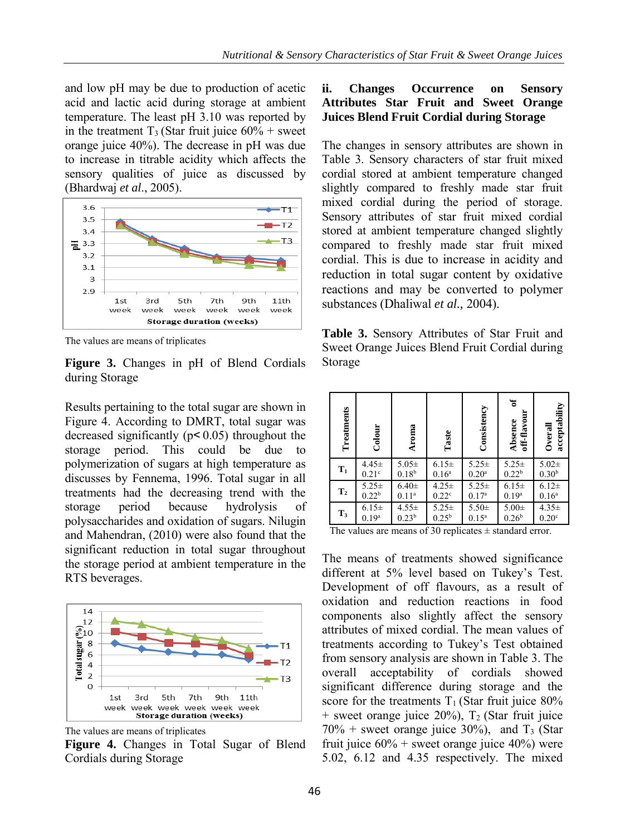and low pH may be due to production of acetic acid and lactic acid during storage at ambient temperature. The least pH 3.10 was reported by in the treatment  $T_3$  (Star fruit juice  $60\%$  + sweet orange juice 40%). The decrease in pH was due to increase in titrable acidity which affects the sensory qualities of juice as discussed by (Bhardwaj *et al*., 2005).



The values are means of triplicates

**Figure 3.** Changes in pH of Blend Cordials during Storage

Results pertaining to the total sugar are shown in Figure 4. According to DMRT, total sugar was decreased significantly (p˂ 0.05) throughout the storage period. This could be due to polymerization of sugars at high temperature as discusses by Fennema, 1996. Total sugar in all treatments had the decreasing trend with the storage period because hydrolysis of polysaccharides and oxidation of sugars. Nilugin and Mahendran, (2010) were also found that the significant reduction in total sugar throughout the storage period at ambient temperature in the RTS beverages.



The values are means of triplicates

**Figure 4.** Changes in Total Sugar of Blend Cordials during Storage

#### **ii. Changes Occurrence on Sensory Attributes Star Fruit and Sweet Orange Juices Blend Fruit Cordial during Storage**

The changes in sensory attributes are shown in Table 3. Sensory characters of star fruit mixed cordial stored at ambient temperature changed slightly compared to freshly made star fruit mixed cordial during the period of storage. Sensory attributes of star fruit mixed cordial stored at ambient temperature changed slightly compared to freshly made star fruit mixed cordial. This is due to increase in acidity and reduction in total sugar content by oxidative reactions and may be converted to polymer substances (Dhaliwal *et al.,* 2004).

**Table 3.** Sensory Attributes of Star Fruit and Sweet Orange Juices Blend Fruit Cordial during Storage

| Treatments     | Colour            | Aroma             | Taste             | Consistency       | ัธ<br>off-flavour<br>Absence | acceptability<br>Overall |
|----------------|-------------------|-------------------|-------------------|-------------------|------------------------------|--------------------------|
| $\mathbf{T}_1$ | $4.45 \pm$        | $5.05 \pm$        | $6.15+$           | $5.25 \pm$        | $5.25 \pm$                   | $5.02 \pm$               |
|                | 0.21 <sup>c</sup> | $0.18^{b}$        | 0.16 <sup>a</sup> | 0.20 <sup>a</sup> | 0.22 <sup>b</sup>            | 0.30 <sup>b</sup>        |
| $\mathbf{T}_2$ | $5.25 \pm$        | $6.40 \pm$        | $4.25 \pm$        | $5.25 \pm$        | $6.15+$                      | $6.12+$                  |
|                | 0.22 <sup>b</sup> | $0.11^{a}$        | 0.22 <sup>c</sup> | 0.17 <sup>a</sup> | 0.19 <sup>a</sup>            | 0.16 <sup>a</sup>        |
| $T_3$          | 6.15±             | $4.55 \pm$        | $5.25 \pm$        | $5.50+$           | $5.00 \pm$                   | $4.35+$                  |
|                | $0.19^{a}$        | 0.23 <sup>b</sup> | $0.25^{b}$        | $0.15^{\rm a}$    | 0.26 <sup>b</sup>            | 0.20 <sup>c</sup>        |

The values are means of 30 replicates  $\pm$  standard error.

The means of treatments showed significance different at 5% level based on Tukey's Test. Development of off flavours, as a result of oxidation and reduction reactions in food components also slightly affect the sensory attributes of mixed cordial. The mean values of treatments according to Tukey's Test obtained from sensory analysis are shown in Table 3. The overall acceptability of cordials showed significant difference during storage and the score for the treatments  $T_1$  (Star fruit juice 80%  $+$  sweet orange juice 20%),  $T_2$  (Star fruit juice  $70\%$  + sweet orange juice 30%), and T<sub>3</sub> (Star) fruit juice  $60\%$  + sweet orange juice  $40\%$ ) were **Example 1.1**  $\frac{1}{4.45\pm}$   $\frac{1}{5.05\pm}$   $\frac{1}{6.15\pm}$   $\frac{1}{6.12\pm}$   $\frac{1}{2.25\pm}$   $\frac{1}{6.40\pm}$   $\frac{1}{6.15\pm}$   $\frac{1}{5.25\pm}$   $\frac{1}{6.10\pm}$   $\frac{1}{6.12\pm}$   $\frac{1}{2.25\pm}$   $\frac{1}{6.40\pm}$   $\frac{1}{4.25\pm}$   $\frac{1}{5.25\pm$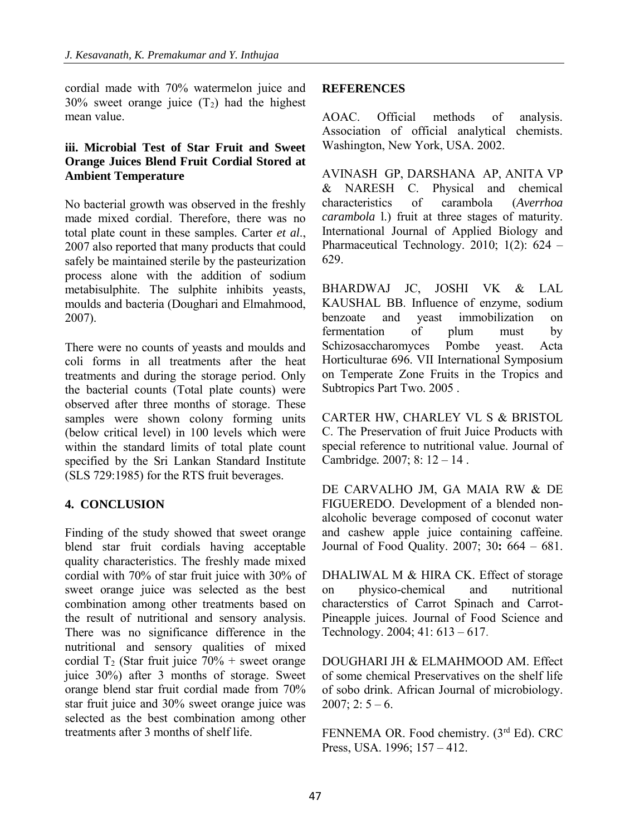cordial made with 70% watermelon juice and 30% sweet orange juice  $(T_2)$  had the highest mean value.

## **iii. Microbial Test of Star Fruit and Sweet Orange Juices Blend Fruit Cordial Stored at Ambient Temperature**

No bacterial growth was observed in the freshly made mixed cordial. Therefore, there was no total plate count in these samples. Carter *et al*., 2007 also reported that many products that could safely be maintained sterile by the pasteurization process alone with the addition of sodium metabisulphite. The sulphite inhibits yeasts, moulds and bacteria (Doughari and Elmahmood, 2007).

There were no counts of yeasts and moulds and coli forms in all treatments after the heat treatments and during the storage period. Only the bacterial counts (Total plate counts) were observed after three months of storage. These samples were shown colony forming units (below critical level) in 100 levels which were within the standard limits of total plate count specified by the Sri Lankan Standard Institute (SLS 729:1985) for the RTS fruit beverages.

# **4. CONCLUSION**

Finding of the study showed that sweet orange blend star fruit cordials having acceptable quality characteristics. The freshly made mixed cordial with 70% of star fruit juice with 30% of sweet orange juice was selected as the best combination among other treatments based on the result of nutritional and sensory analysis. There was no significance difference in the nutritional and sensory qualities of mixed cordial  $T_2$  (Star fruit juice 70% + sweet orange juice 30%) after 3 months of storage. Sweet orange blend star fruit cordial made from 70% star fruit juice and 30% sweet orange juice was selected as the best combination among other treatments after 3 months of shelf life.

#### **REFERENCES**

AOAC. Official methods of analysis. Association of official analytical chemists. Washington, New York, USA. 2002.

AVINASH GP, DARSHANA AP, ANITA VP & NARESH C. Physical and chemical characteristics of carambola (*Averrhoa carambola* l.) fruit at three stages of maturity. International Journal of Applied Biology and Pharmaceutical Technology. 2010; 1(2): 624 – 629.

BHARDWAJ JC, JOSHI VK & LAL KAUSHAL BB. Influence of enzyme, sodium benzoate and yeast immobilization on fermentation of plum must by Schizosaccharomyces Pombe yeast. Acta Horticulturae 696. VII International Symposium on Temperate Zone Fruits in the Tropics and Subtropics Part Two. 2005 .

CARTER HW, CHARLEY VL S & BRISTOL C. The Preservation of fruit Juice Products with special reference to nutritional value. Journal of Cambridge*.* 2007; 8: 12 – 14 .

DE CARVALHO JM, GA MAIA RW & DE FIGUEREDO. Development of a blended nonalcoholic beverage composed of coconut water and cashew apple juice containing caffeine. Journal of Food Quality. 2007; 30**:** 664 – 681.

DHALIWAL M & HIRA CK. Effect of storage on physico-chemical and nutritional characterstics of Carrot Spinach and Carrot-Pineapple juices. Journal of Food Science and Technology. 2004; 41: 613 – 617.

DOUGHARI JH & ELMAHMOOD AM. Effect of some chemical Preservatives on the shelf life of sobo drink. African Journal of microbiology.  $2007; 2: 5 - 6.$ 

FENNEMA OR. Food chemistry. (3<sup>rd</sup> Ed). CRC Press, USA. 1996; 157 – 412.